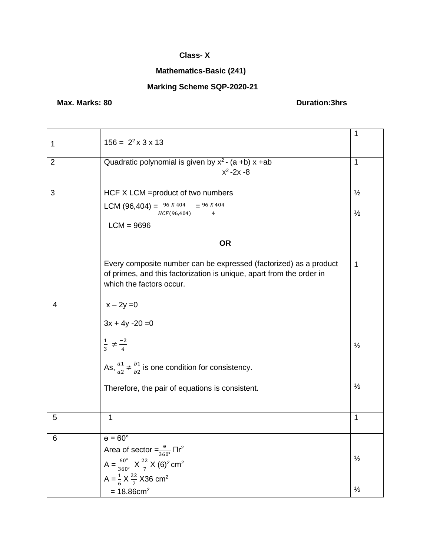### **Class- X**

# **Mathematics-Basic (241)**

# **Marking Scheme SQP-2020-21**

# **Max. Marks: 80 Duration:3hrs**

|                |                                                                               | 1             |
|----------------|-------------------------------------------------------------------------------|---------------|
| 1              | $156 = 2^2 \times 3 \times 13$                                                |               |
| $\overline{2}$ | Quadratic polynomial is given by $x^2$ - (a +b) x +ab                         | 1             |
|                | $x^2 - 2x - 8$                                                                |               |
|                |                                                                               |               |
| 3              | HCF X LCM = product of two numbers                                            | $\frac{1}{2}$ |
|                | LCM (96,404) = $\frac{96 X 404}{HCF(96,404)}$ = $\frac{96 X 404}{4}$          | $\frac{1}{2}$ |
|                | $LCM = 9696$                                                                  |               |
|                | <b>OR</b>                                                                     |               |
|                | Every composite number can be expressed (factorized) as a product             | 1             |
|                | of primes, and this factorization is unique, apart from the order in          |               |
|                | which the factors occur.                                                      |               |
| 4              | $x - 2y = 0$                                                                  |               |
|                |                                                                               |               |
|                | $3x + 4y - 20 = 0$                                                            |               |
|                | $\frac{1}{3} \neq \frac{-2}{4}$                                               | $\frac{1}{2}$ |
|                |                                                                               |               |
|                | As, $\frac{a_1}{a_2} \neq \frac{b_1}{b_2}$ is one condition for consistency.  |               |
|                | Therefore, the pair of equations is consistent.                               | $\frac{1}{2}$ |
|                |                                                                               |               |
| 5              | 1                                                                             | 1             |
|                |                                                                               |               |
| 6              | $\theta = 60^\circ$                                                           |               |
|                | Area of sector = $\frac{9}{360^\circ}$ $\Pi r^2$                              | $\frac{1}{2}$ |
|                | $A = \frac{60^{\circ}}{360^{\circ}}$ $X \frac{22}{7} X (6)^2$ cm <sup>2</sup> |               |
|                | A = $\frac{1}{6}$ X $\frac{22}{7}$ X36 cm <sup>2</sup>                        |               |
|                | $= 18.86$ cm <sup>2</sup>                                                     | $\frac{1}{2}$ |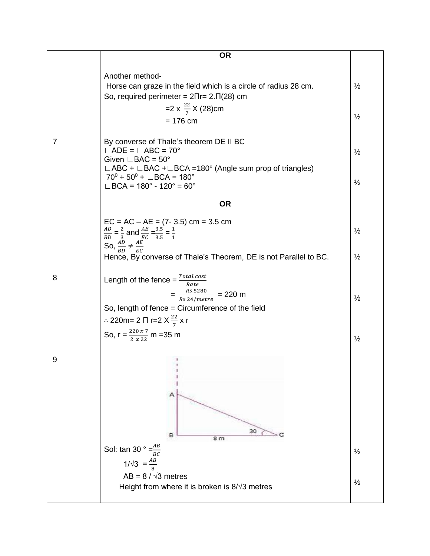|   | <b>OR</b>                                                                                                                                                                                |               |
|---|------------------------------------------------------------------------------------------------------------------------------------------------------------------------------------------|---------------|
|   | Another method-                                                                                                                                                                          |               |
|   | Horse can graze in the field which is a circle of radius 28 cm.<br>So, required perimeter = $2\pi r = 2 \cdot \pi (28)$ cm                                                               | $\frac{1}{2}$ |
|   | =2 x $\frac{22}{7}$ X (28)cm<br>$= 176$ cm                                                                                                                                               | $\frac{1}{2}$ |
|   |                                                                                                                                                                                          |               |
| 7 | By converse of Thale's theorem DE II BC<br>$\Box$ ADE = $\Box$ ABC = 70°<br>Given $\mathsf{\sqcup}$ BAC = 50°                                                                            | $\frac{1}{2}$ |
|   | $\Box$ ABC + $\Box$ BAC + $\Box$ BCA = 180° (Angle sum prop of triangles)<br>$70^0 + 50^0 + \text{ } \square$ BCA = 180°<br>$\Box$ BCA = 180 $^{\circ}$ - 120 $^{\circ}$ = 60 $^{\circ}$ | $\frac{1}{2}$ |
|   | <b>OR</b>                                                                                                                                                                                |               |
|   | $EC = AC - AE = (7 - 3.5)$ cm = 3.5 cm<br>$rac{AD}{BD} = \frac{2}{3}$ and $rac{AE}{EC} = \frac{3.5}{3.5} = \frac{1}{1}$                                                                  | $\frac{1}{2}$ |
|   | So, $\frac{\overline{AD}}{BD} \neq \frac{\overline{AE}}{EC}$<br>Hence, By converse of Thale's Theorem, DE is not Parallel to BC.                                                         | $\frac{1}{2}$ |
|   |                                                                                                                                                                                          |               |
| 8 | Length of the fence = $\frac{Total cost}{1}$<br>Rate<br>$=\frac{Rs.5280}{Rs\ 24/metre}$ = 220 m                                                                                          | $\frac{1}{2}$ |
|   | So, length of fence = Circumference of the field<br>∴ 220m= 2 $\Pi$ r=2 $X \frac{22}{7}$ x r                                                                                             |               |
|   | So, $r = \frac{220 x 7}{2 x 22}$ m = 35 m                                                                                                                                                | $\frac{1}{2}$ |
| 9 | 3<br>30                                                                                                                                                                                  |               |
|   | 8<br>8 m<br>Sol: tan 30 ° = $\frac{AB}{BC}$                                                                                                                                              | $\frac{1}{2}$ |
|   | $1/\sqrt{3} = \frac{AB}{8}$<br>AB = $8 / \sqrt{3}$ metres                                                                                                                                |               |
|   | Height from where it is broken is $8/\sqrt{3}$ metres                                                                                                                                    | $\frac{1}{2}$ |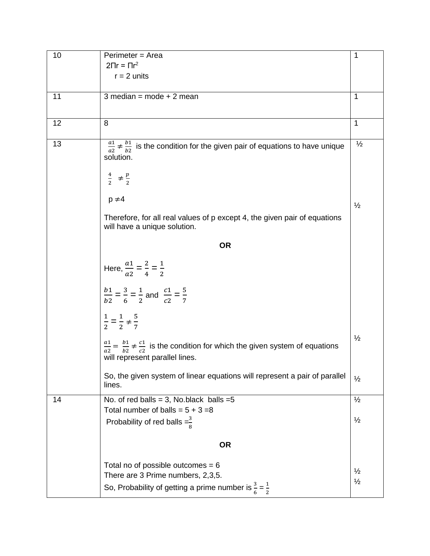| 10 | Perimeter = Area                                                                                                                                     | 1                              |
|----|------------------------------------------------------------------------------------------------------------------------------------------------------|--------------------------------|
|    | $2\Pi r = \Pi r^2$                                                                                                                                   |                                |
|    | $r = 2$ units                                                                                                                                        |                                |
| 11 | $3$ median = mode + 2 mean                                                                                                                           | 1                              |
|    |                                                                                                                                                      |                                |
|    |                                                                                                                                                      |                                |
| 12 | 8                                                                                                                                                    | 1                              |
| 13 | $\frac{a_1}{a_2} \neq \frac{b_1}{b_2}$ is the condition for the given pair of equations to have unique<br>solution.                                  | $\frac{1}{2}$                  |
|    | $rac{4}{2}$ $\neq \frac{p}{2}$                                                                                                                       |                                |
|    | $p \neq 4$                                                                                                                                           | $\frac{1}{2}$                  |
|    | Therefore, for all real values of p except 4, the given pair of equations<br>will have a unique solution.                                            |                                |
|    | <b>OR</b>                                                                                                                                            |                                |
|    | Here, $\frac{a1}{a2} = \frac{2}{4} = \frac{1}{2}$                                                                                                    |                                |
|    | $\frac{b1}{b2} = \frac{3}{6} = \frac{1}{2}$ and $\frac{c1}{c2} = \frac{5}{7}$                                                                        |                                |
|    | $\frac{1}{2} = \frac{1}{2} \neq \frac{5}{7}$                                                                                                         |                                |
|    | $\frac{a_1}{a_2} = \frac{b_1}{b_2} \neq \frac{c_1}{c_2}$ is the condition for which the given system of equations<br>will represent parallel lines.  | $\frac{1}{2}$                  |
|    | So, the given system of linear equations will represent a pair of parallel<br>lines.                                                                 | $\frac{1}{2}$                  |
| 14 | No. of red balls = 3, No. black balls = $5$                                                                                                          | $\frac{1}{2}$                  |
|    | Total number of balls = $5 + 3 = 8$<br>Probability of red balls $=\frac{3}{8}$                                                                       | $\frac{1}{2}$                  |
|    | <b>OR</b>                                                                                                                                            |                                |
|    | Total no of possible outcomes = $6$<br>There are 3 Prime numbers, 2,3,5.<br>So, Probability of getting a prime number is $\frac{3}{6} = \frac{1}{2}$ | $\frac{1}{2}$<br>$\frac{1}{2}$ |
|    |                                                                                                                                                      |                                |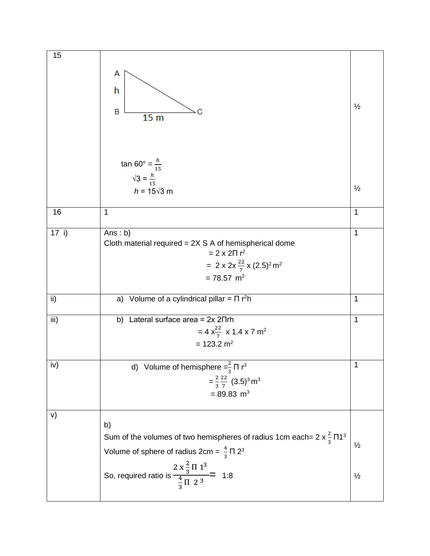| 15    |                                                                                          |               |
|-------|------------------------------------------------------------------------------------------|---------------|
|       | Α                                                                                        |               |
|       | h                                                                                        |               |
|       |                                                                                          | $\frac{1}{2}$ |
|       | B<br>15 <sub>m</sub>                                                                     |               |
|       |                                                                                          |               |
|       |                                                                                          |               |
|       | $\tan 60^{\circ} = \frac{h}{15}$                                                         |               |
|       |                                                                                          |               |
|       | $\sqrt{3} = \frac{h}{15}$                                                                | $\frac{1}{2}$ |
|       | $h = 15\sqrt{3}$ m                                                                       |               |
| 16    | 1                                                                                        | $\mathbf 1$   |
| 17 i) | Ans: $b)$                                                                                | $\mathbf 1$   |
|       | Cloth material required $= 2X S A$ of hemispherical dome                                 |               |
|       | $= 2 \times 2 \Pi r^2$                                                                   |               |
|       | = 2 x 2x $\frac{22}{7}$ x (2.5) <sup>2</sup> m <sup>2</sup>                              |               |
|       | $= 78.57$ m <sup>2</sup>                                                                 |               |
| ii)   | a) Volume of a cylindrical pillar = $\Pi$ r <sup>2</sup> h                               | 1             |
|       |                                                                                          |               |
| iii)  | b) Lateral surface area = $2x 2\pi rh$                                                   | 1             |
|       | = 4 $x_{\frac{22}{7}}^{22}$ x 1.4 x 7 m <sup>2</sup>                                     |               |
|       | $= 123.2$ m <sup>2</sup>                                                                 |               |
| iv)   | d) Volume of hemisphere $=\frac{2}{3} \Pi r^3$                                           | 1             |
|       | $=\frac{2}{3}\frac{22}{7}$ (3.5) <sup>3</sup> m <sup>3</sup>                             |               |
|       | $= 89.83 \text{ m}^3$                                                                    |               |
|       |                                                                                          |               |
| V)    | b)                                                                                       |               |
|       | Sum of the volumes of two hemispheres of radius 1cm each= $2 \times \frac{2}{3} \Pi 1^3$ |               |
|       | Volume of sphere of radius $2cm = \frac{4}{3} \Pi 2^3$                                   | $\frac{1}{2}$ |
|       |                                                                                          |               |
|       |                                                                                          | $\frac{1}{2}$ |
|       | So, required ratio is $\frac{2 \times \frac{2}{3} \Pi 1^3}{\frac{4}{3} \Pi 2^3}$ = 1:8   |               |
|       |                                                                                          |               |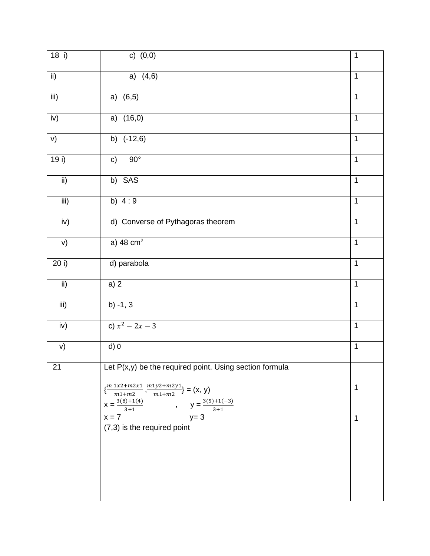| 18 i)            | c) $(0,0)$                                                                                                  | $\mathbf{1}$   |
|------------------|-------------------------------------------------------------------------------------------------------------|----------------|
| $\overline{ii}$  | a) $(4,6)$                                                                                                  | $\mathbf{1}$   |
| iii)             | a) $(6,5)$                                                                                                  | 1              |
| iv)              | a) $(16,0)$                                                                                                 | $\mathbf{1}$   |
| v)               | b) $(-12,6)$                                                                                                | $\mathbf{1}$   |
| 19i)             | $90^\circ$<br>c)                                                                                            | $\overline{1}$ |
| $\mathsf{ii}$    | b) SAS                                                                                                      | $\mathbf{1}$   |
| $\overline{iii}$ | b) $4:9$                                                                                                    | $\overline{1}$ |
| iv)              | d) Converse of Pythagoras theorem                                                                           | $\mathbf{1}$   |
| V)               | a) 48 $cm2$                                                                                                 | $\overline{1}$ |
| 20 i)            | d) parabola                                                                                                 | $\mathbf{1}$   |
| $\overline{ii}$  | a) 2                                                                                                        | $\mathbf{1}$   |
| iii)             | $b) -1, 3$                                                                                                  | $\mathbf{1}$   |
| iv)              | c) $x^2 - 2x - 3$                                                                                           | $\mathbf 1$    |
| V)               | $d$ ) 0                                                                                                     | $\mathbf{1}$   |
| 21               | Let $P(x,y)$ be the required point. Using section formula                                                   |                |
|                  | $\{\frac{m\, 1x2 + m2x1}{m1 + m2}$ , $\frac{m1y2 + m2y1}{m1 + m2}\} = \big( \mathsf{x},\, \mathsf{y} \big)$ | 1              |
|                  | $X = \frac{3(8)+1(4)}{3+1}$ , $Y = \frac{3(5)+1(-3)}{3+1}$<br>$y=3$<br>$x = 7$                              | 1              |
|                  | (7,3) is the required point                                                                                 |                |
|                  |                                                                                                             |                |
|                  |                                                                                                             |                |
|                  |                                                                                                             |                |
|                  |                                                                                                             |                |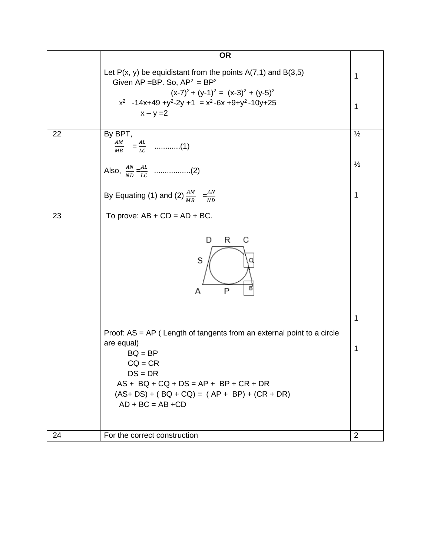|    | <b>OR</b>                                                                                                                                                                                                                                                                                                       |                            |
|----|-----------------------------------------------------------------------------------------------------------------------------------------------------------------------------------------------------------------------------------------------------------------------------------------------------------------|----------------------------|
|    | Let $P(x, y)$ be equidistant from the points $A(7,1)$ and $B(3,5)$<br>Given AP = BP. So, $AP^2 = BP^2$                                                                                                                                                                                                          | 1                          |
|    | $(x-7)^2 + (y-1)^2 = (x-3)^2 + (y-5)^2$<br>$x^2$ -14x+49 +y <sup>2</sup> -2y +1 = $x^2$ -6x +9+y <sup>2</sup> -10y+25<br>$x - y = 2$                                                                                                                                                                            | 1                          |
| 22 | By BPT,                                                                                                                                                                                                                                                                                                         | $\frac{1}{2}$              |
|    |                                                                                                                                                                                                                                                                                                                 | $\frac{1}{2}$              |
|    | By Equating (1) and (2) $\frac{AM}{MB} = \frac{AN}{ND}$                                                                                                                                                                                                                                                         | 1                          |
| 23 | To prove: $AB + CD = AD + BC$ .<br>R<br>С<br>D<br>S<br>P<br>Α<br>Proof: AS = AP ( Length of tangents from an external point to a circle<br>are equal)<br>$BQ = BP$<br>$CQ = CR$<br>$DS = DR$<br>$AS + BQ + CQ + DS = AP + BP + CR + DR$<br>$(AS+DS) + (BQ + CQ) = (AP + BP) + (CR + DR)$<br>$AD + BC = AB + CD$ | $\mathbf 1$<br>$\mathbf 1$ |
| 24 | For the correct construction                                                                                                                                                                                                                                                                                    | $\overline{2}$             |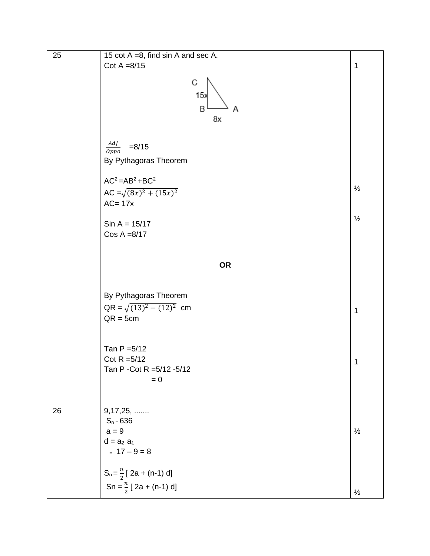| 25 | 15 $cot A = 8$ , find $sin A$ and $sec A$ .<br>Cot $A = 8/15$                    | $\mathbf 1$   |
|----|----------------------------------------------------------------------------------|---------------|
|    | С<br>15x<br>B<br>Α<br>8x                                                         |               |
|    | $\frac{Adj}{Oppo}$<br>$= 8/15$<br>By Pythagoras Theorem                          |               |
|    | $AC2 = AB2 + BC2$<br>AC = $\sqrt{(8x)^2 + (15x)^2}$<br>$AC = 17x$                | $\frac{1}{2}$ |
|    | $Sin A = 15/17$<br>$Cos A = 8/17$                                                | $\frac{1}{2}$ |
|    | <b>OR</b>                                                                        |               |
|    | By Pythagoras Theorem<br>$QR = \sqrt{(13)^2 - (12)^2}$ cm<br>$QR = 5cm$          | $\mathbf{1}$  |
|    | Tan $P = 5/12$<br>Cot R $=5/12$<br>Tan P - Cot R = 5/12 - 5/12<br>$= 0$          | 1             |
| 26 | $9,17,25, \ldots$<br>$S_n = 636$<br>$a = 9$<br>$d = a_2 - a_1$<br>$= 17 - 9 = 8$ | $\frac{1}{2}$ |
|    | $S_n = \frac{n}{2}$ [ 2a + (n-1) d]<br>Sn = $\frac{n}{2}$ [ 2a + (n-1) d]        | $\frac{1}{2}$ |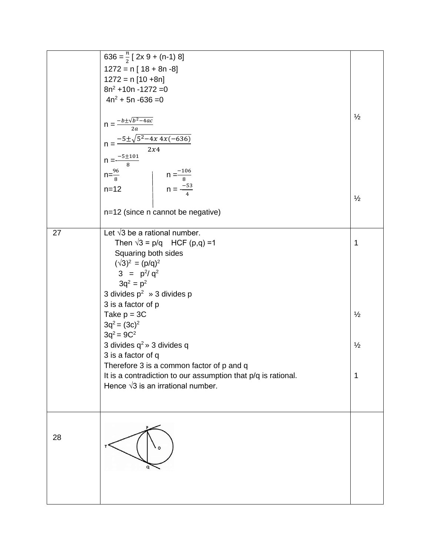|    | 636 = $\frac{n}{2}$ [ 2x 9 + (n-1) 8]<br>$1272 = n [ 18 + 8n -8]$<br>$1272 = n [10 + 8n]$<br>$8n^2 + 10n - 1272 = 0$<br>$4n^2 + 5n - 636 = 0$                                                                                                                                                                                                                                                                                                                                                               |                                          |
|----|-------------------------------------------------------------------------------------------------------------------------------------------------------------------------------------------------------------------------------------------------------------------------------------------------------------------------------------------------------------------------------------------------------------------------------------------------------------------------------------------------------------|------------------------------------------|
|    | $n = \frac{-b \pm \sqrt{b^2 - 4ac}}{2a}$<br>$n = \frac{-5 \pm \sqrt{5^2 - 4x \cdot 4x(-636)}}{2x4}$<br>$n = \frac{-5 \pm 101}{8}$                                                                                                                                                                                                                                                                                                                                                                           | $\frac{1}{2}$                            |
|    | $n=\frac{96}{8}$<br>$n=12$<br>$n=\frac{-106}{8}$<br>$n=\frac{-53}{4}$<br>n=12 (since n cannot be negative)                                                                                                                                                                                                                                                                                                                                                                                                  | $\frac{1}{2}$                            |
| 27 | Let $\sqrt{3}$ be a rational number.<br>Then $\sqrt{3} = p/q$ HCF (p,q) =1<br>Squaring both sides<br>$(\sqrt{3})^2 = (p/q)^2$<br>$3 = p^2/q^2$<br>$3q^2 = p^2$<br>3 divides $p^2 \rightarrow 3$ divides p<br>3 is a factor of p<br>Take $p = 3C$<br>$3q^2 = (3c)^2$<br>$3q^2 = 9C^2$<br>3 divides $q^2 \times 3$ divides q<br>3 is a factor of q<br>Therefore 3 is a common factor of p and q<br>It is a contradiction to our assumption that p/q is rational.<br>Hence $\sqrt{3}$ is an irrational number. | 1<br>$\frac{1}{2}$<br>$\frac{1}{2}$<br>1 |
| 28 |                                                                                                                                                                                                                                                                                                                                                                                                                                                                                                             |                                          |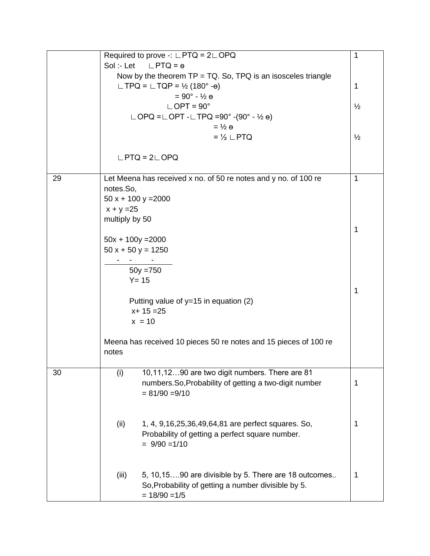|    |                     | Required to prove -: $\Box PTQ = 2 \Box OPQ$                       | $\mathbf 1$   |
|----|---------------------|--------------------------------------------------------------------|---------------|
|    |                     | Sol:-Let $LPTQ = \theta$                                           |               |
|    |                     | Now by the theorem $TP = TQ$ . So, $TPQ$ is an isosceles triangle  |               |
|    |                     | $\Box$ TPQ = $\Box$ TQP = $\frac{1}{2}$ (180° - $\Theta$ )         | 1             |
|    |                     | $= 90^{\circ} - \frac{1}{2}$ e                                     |               |
|    |                     | $\mathsf{LOPT} = 90^\circ$                                         | $\frac{1}{2}$ |
|    |                     | $\Box$ OPQ = $\Box$ OPT - $\Box$ TPQ = 90° - (90° - 1/2 $\theta$ ) |               |
|    |                     | $=$ $\frac{1}{2}$ $\theta$                                         |               |
|    |                     | $=$ $\frac{1}{2}$ $\mathsf{\perp}$ PTQ                             | $\frac{1}{2}$ |
|    |                     | $LPTQ = 2LDPQ$                                                     |               |
|    |                     |                                                                    |               |
| 29 |                     | Let Meena has received x no. of 50 re notes and y no. of 100 re    | 1             |
|    | notes.So,           |                                                                    |               |
|    |                     | $50x + 100y = 2000$                                                |               |
|    | $x + y = 25$        |                                                                    |               |
|    | multiply by 50      |                                                                    |               |
|    |                     |                                                                    | 1             |
|    | $50x + 100y = 2000$ |                                                                    |               |
|    | $50x + 50y = 1250$  |                                                                    |               |
|    |                     |                                                                    |               |
|    |                     | $50y = 750$                                                        |               |
|    |                     | $Y = 15$                                                           |               |
|    |                     |                                                                    | 1             |
|    |                     | Putting value of $y=15$ in equation (2)                            |               |
|    |                     | $x + 15 = 25$                                                      |               |
|    |                     | $x = 10$                                                           |               |
|    | notes               | Meena has received 10 pieces 50 re notes and 15 pieces of 100 re   |               |
| 30 | (i)                 | 10,11,1290 are two digit numbers. There are 81                     |               |
|    |                     | numbers.So, Probability of getting a two-digit number              | 1             |
|    |                     | $= 81/90 = 9/10$                                                   |               |
|    |                     |                                                                    |               |
|    |                     |                                                                    |               |
|    | (ii)                | 1, 4, 9, 16, 25, 36, 49, 64, 81 are perfect squares. So,           | 1             |
|    |                     | Probability of getting a perfect square number.                    |               |
|    |                     | $= 9/90 = 1/10$                                                    |               |
|    |                     |                                                                    |               |
|    |                     |                                                                    |               |
|    | (iii)               | 5, 10, 1590 are divisible by 5. There are 18 outcomes              | 1             |
|    |                     | So, Probability of getting a number divisible by 5.                |               |
|    |                     | $= 18/90 = 1/5$                                                    |               |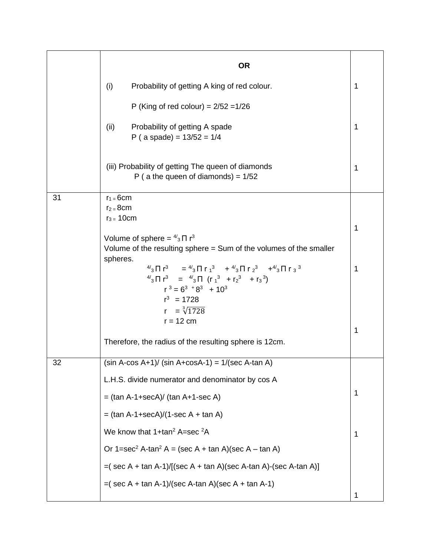|    | <b>OR</b>                                                                                                                                                                                                                                                                                                         |   |
|----|-------------------------------------------------------------------------------------------------------------------------------------------------------------------------------------------------------------------------------------------------------------------------------------------------------------------|---|
|    | (i)<br>Probability of getting A king of red colour.                                                                                                                                                                                                                                                               | 1 |
|    | P (King of red colour) = $2/52 = 1/26$                                                                                                                                                                                                                                                                            |   |
|    | Probability of getting A spade<br>(ii)<br>P (a spade) = $13/52 = 1/4$                                                                                                                                                                                                                                             | 1 |
|    | (iii) Probability of getting The queen of diamonds<br>P ( a the queen of diamonds) = $1/52$                                                                                                                                                                                                                       | 1 |
| 31 | $r_1 = 6cm$<br>$r_2 = 8$ cm                                                                                                                                                                                                                                                                                       |   |
|    | $r_3 = 10$ cm<br>Volume of sphere = $\frac{4}{3} \Pi r^3$                                                                                                                                                                                                                                                         | 1 |
|    | Volume of the resulting sphere = Sum of the volumes of the smaller<br>spheres.                                                                                                                                                                                                                                    |   |
|    | $^{4/3}$ $\Pi$ r <sup>3</sup> = $^{4/3}$ $\Pi$ r <sub>1</sub> <sup>3</sup> + $^{4/3}$ $\Pi$ r <sub>2</sub> <sup>3</sup> + $^{4/3}$ $\Pi$ r <sub>3</sub> <sup>3</sup><br>$^{4/3}$ $\Pi$ $\Gamma^3$ = $^{4/3}$ $\Pi$ $(\Gamma_1{}^3$ + $\Gamma_2{}^3$ + $\Gamma_3{}^3)$<br>$r^3 = 6^3 + 8^3 + 10^3$<br>$r^3$ = 1728 | 1 |
|    | $r = \sqrt[3]{1728}$                                                                                                                                                                                                                                                                                              |   |
|    | $r = 12$ cm                                                                                                                                                                                                                                                                                                       | 1 |
|    | Therefore, the radius of the resulting sphere is 12cm.                                                                                                                                                                                                                                                            |   |
| 32 | $(sin A-cos A+1)$ / $(sin A+cos A-1) = 1/(sec A-tan A)$                                                                                                                                                                                                                                                           |   |
|    | L.H.S. divide numerator and denominator by cos A                                                                                                                                                                                                                                                                  |   |
|    | $=$ (tan A-1+secA)/ (tan A+1-sec A)                                                                                                                                                                                                                                                                               | 1 |
|    | $=$ (tan A-1+secA)/(1-sec A + tan A)                                                                                                                                                                                                                                                                              |   |
|    | We know that $1+tan^2 A = sec^2 A$                                                                                                                                                                                                                                                                                | 1 |
|    | Or $1 = \sec^2 A \cdot \tan^2 A = (\sec A + \tan A)(\sec A - \tan A)$                                                                                                                                                                                                                                             |   |
|    | $=($ sec A + tan A-1)/[(sec A + tan A)(sec A-tan A)-(sec A-tan A)]                                                                                                                                                                                                                                                |   |
|    | $=($ sec A + tan A-1)/(sec A-tan A)(sec A + tan A-1)                                                                                                                                                                                                                                                              | 1 |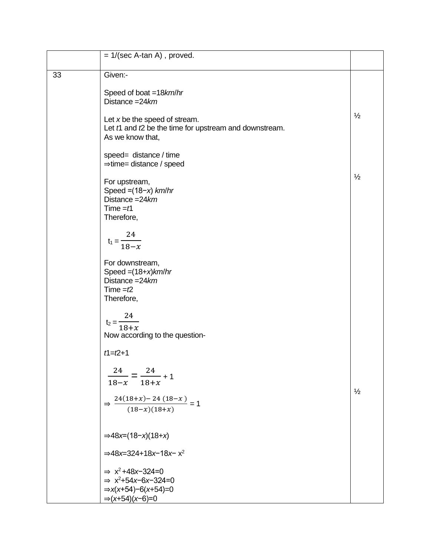|    | $= 1/(sec A-tan A)$ , proved.                                                                                                                           |               |
|----|---------------------------------------------------------------------------------------------------------------------------------------------------------|---------------|
| 33 | Given:-                                                                                                                                                 |               |
|    | Speed of boat =18km/hr<br>Distance $=24km$                                                                                                              |               |
|    | Let $x$ be the speed of stream.<br>Let $t1$ and $t2$ be the time for upstream and downstream.<br>As we know that,                                       | $\frac{1}{2}$ |
|    | speed= distance / time<br>$\Rightarrow$ time= distance / speed                                                                                          |               |
|    | For upstream,<br>Speed = $(18-x)$ km/hr<br>Distance $=24km$<br>Time $=$ f1<br>Therefore,                                                                | $\frac{1}{2}$ |
|    | $t_1 = \frac{24}{18 - x}$                                                                                                                               |               |
|    | For downstream,<br>Speed = $(18+x)$ km/hr<br>Distance = $24km$<br>Time $=t2$<br>Therefore,                                                              |               |
|    | 24<br>$t_2 =$<br>$18+x$<br>Now according to the question-                                                                                               |               |
|    | $t1 = t2 + 1$                                                                                                                                           |               |
|    | 24<br>24<br>$- + 1$<br>$18 - x$<br>$18 + x$                                                                                                             | $\frac{1}{2}$ |
|    | $\Rightarrow \frac{24(18+x)-24(18-x)}{(18-x)(18+x)} = 1$                                                                                                |               |
|    | $\Rightarrow$ 48x=(18-x)(18+x)                                                                                                                          |               |
|    | $\Rightarrow$ 48x=324+18x-18x-x <sup>2</sup>                                                                                                            |               |
|    | $\Rightarrow$ x <sup>2</sup> +48x-324=0<br>$\Rightarrow$ x <sup>2</sup> +54x-6x-324=0<br>$\Rightarrow$ x(x+54)-6(x+54)=0<br>$\Rightarrow$ (x+54)(x-6)=0 |               |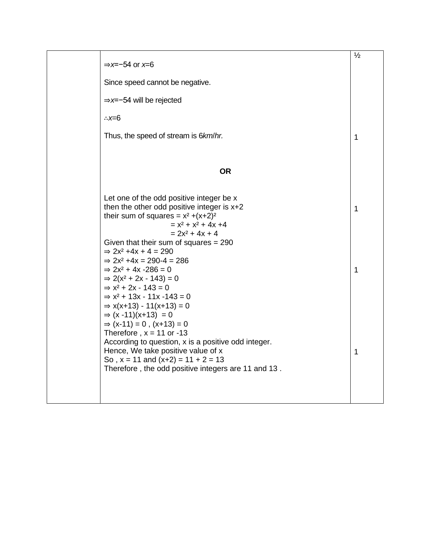| $\Rightarrow$ x=-54 or x=6                                                                                                                                                                                                                                                                                                                                                                                                                                                            | $\frac{1}{2}$ |
|---------------------------------------------------------------------------------------------------------------------------------------------------------------------------------------------------------------------------------------------------------------------------------------------------------------------------------------------------------------------------------------------------------------------------------------------------------------------------------------|---------------|
| Since speed cannot be negative.                                                                                                                                                                                                                                                                                                                                                                                                                                                       |               |
| $\Rightarrow$ x=-54 will be rejected                                                                                                                                                                                                                                                                                                                                                                                                                                                  |               |
| $\therefore x=6$                                                                                                                                                                                                                                                                                                                                                                                                                                                                      |               |
| Thus, the speed of stream is 6km/hr.                                                                                                                                                                                                                                                                                                                                                                                                                                                  | 1             |
|                                                                                                                                                                                                                                                                                                                                                                                                                                                                                       |               |
| <b>OR</b>                                                                                                                                                                                                                                                                                                                                                                                                                                                                             |               |
| Let one of the odd positive integer be x<br>then the other odd positive integer is $x+2$<br>their sum of squares = $x^2$ +(x+2) <sup>2</sup><br>$= x2 + x2 + 4x +4$<br>$= 2x^2 + 4x + 4$<br>Given that their sum of squares $= 290$<br>$\Rightarrow$ 2x <sup>2</sup> +4x + 4 = 290<br>$\Rightarrow$ 2x <sup>2</sup> +4x = 290-4 = 286<br>$\Rightarrow$ 2x <sup>2</sup> + 4x -286 = 0<br>$\Rightarrow$ 2(x <sup>2</sup> + 2x - 143) = 0<br>$\Rightarrow$ x <sup>2</sup> + 2x - 143 = 0 | 1<br>1        |
| $\Rightarrow$ x <sup>2</sup> + 13x - 11x -143 = 0<br>$\Rightarrow$ x(x+13) - 11(x+13) = 0<br>$\Rightarrow$ (x -11)(x+13) = 0<br>$\Rightarrow$ (x-11) = 0, (x+13) = 0<br>Therefore, $x = 11$ or -13<br>According to question, x is a positive odd integer.<br>Hence, We take positive value of x<br>So, $x = 11$ and $(x+2) = 11 + 2 = 13$<br>Therefore, the odd positive integers are 11 and 13.                                                                                      | 1             |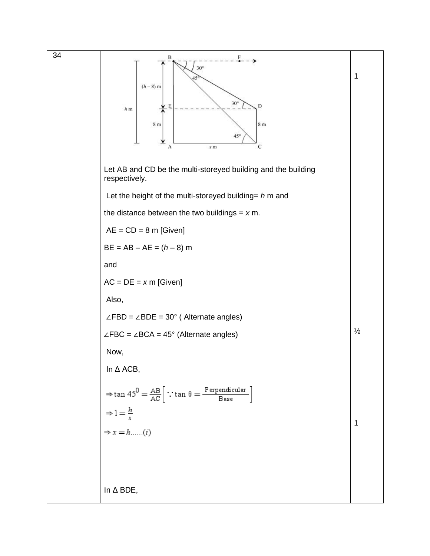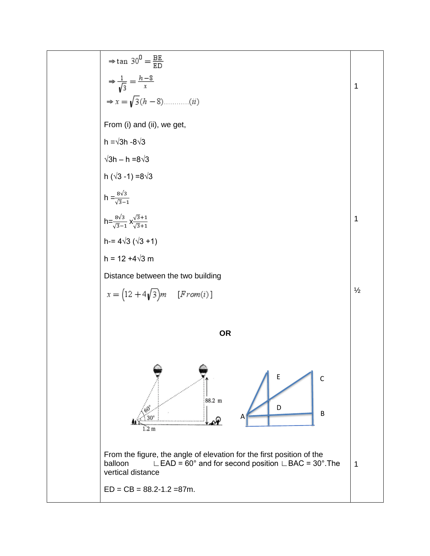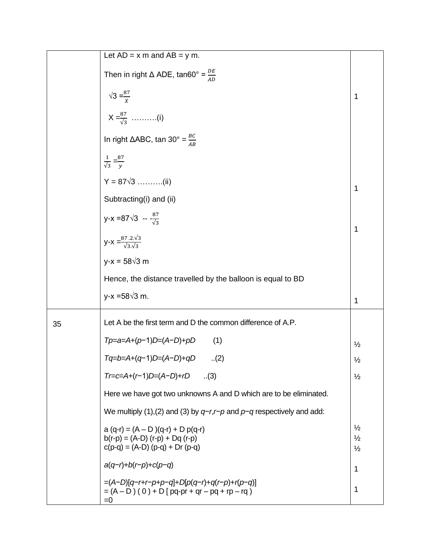|    | Let $AD = x \text{ m}$ and $AB = y \text{ m}$ .                                                             |                                                 |  |  |
|----|-------------------------------------------------------------------------------------------------------------|-------------------------------------------------|--|--|
|    | Then in right $\triangle$ ADE, tan60° = $\frac{DE}{AD}$                                                     |                                                 |  |  |
|    | $\sqrt{3} = \frac{87}{x}$                                                                                   | 1                                               |  |  |
|    | $X = \frac{87}{\sqrt{3}}$ (i)                                                                               |                                                 |  |  |
|    | In right $\triangle ABC$ , tan 30° = $\frac{BC}{AB}$                                                        |                                                 |  |  |
|    | $\frac{1}{\sqrt{3}} = \frac{87}{v}$                                                                         |                                                 |  |  |
|    | $Y = 87\sqrt{3}$ (ii)                                                                                       | 1                                               |  |  |
|    | Subtracting(i) and (ii)                                                                                     |                                                 |  |  |
|    | y-x = 87 $\sqrt{3}$ -- $\frac{87}{\sqrt{3}}$                                                                | $\mathbf 1$                                     |  |  |
|    | $y-x = \frac{87.2 \sqrt{3}}{\sqrt{3}\sqrt{3}}$                                                              |                                                 |  |  |
|    | $y-x = 58\sqrt{3}$ m                                                                                        |                                                 |  |  |
|    | Hence, the distance travelled by the balloon is equal to BD                                                 |                                                 |  |  |
|    | $y-x = 58\sqrt{3}$ m.                                                                                       | 1                                               |  |  |
| 35 | Let A be the first term and D the common difference of A.P.                                                 |                                                 |  |  |
|    | $Tp=a=A+(p-1)D=(A-D)+pD$<br>(1)                                                                             | $\frac{1}{2}$                                   |  |  |
|    | $Tq = b = A + (q-1)D = (A-D)+qD$<br>(2)                                                                     | $\frac{1}{2}$                                   |  |  |
|    | Tr=c=A+(r−1)D=(A−D)+rD<br>$\ldots(3)$                                                                       | $\frac{1}{2}$                                   |  |  |
|    | Here we have got two unknowns A and D which are to be eliminated.                                           |                                                 |  |  |
|    | We multiply (1), (2) and (3) by $q-r,r-p$ and $p-q$ respectively and add:                                   |                                                 |  |  |
|    | $a(q-r) = (A - D)(q-r) + Dp(q-r)$<br>$b(r-p) = (A-D) (r-p) + Dq (r-p)$<br>$c(p-q) = (A-D) (p-q) + Dr (p-q)$ | $\frac{1}{2}$<br>$\frac{1}{2}$<br>$\frac{1}{2}$ |  |  |
|    | $a(q-r)+b(r-p)+c(p-q)$                                                                                      | 1                                               |  |  |
|    | $=(A-D)[q-r+r-p+p-q]+D[p(q-r)+q(r-p)+r(p-q)]$<br>$= (A - D) (0) + D [pq-pr + qr - pq + rp - rq)$<br>$=0$    | 1                                               |  |  |